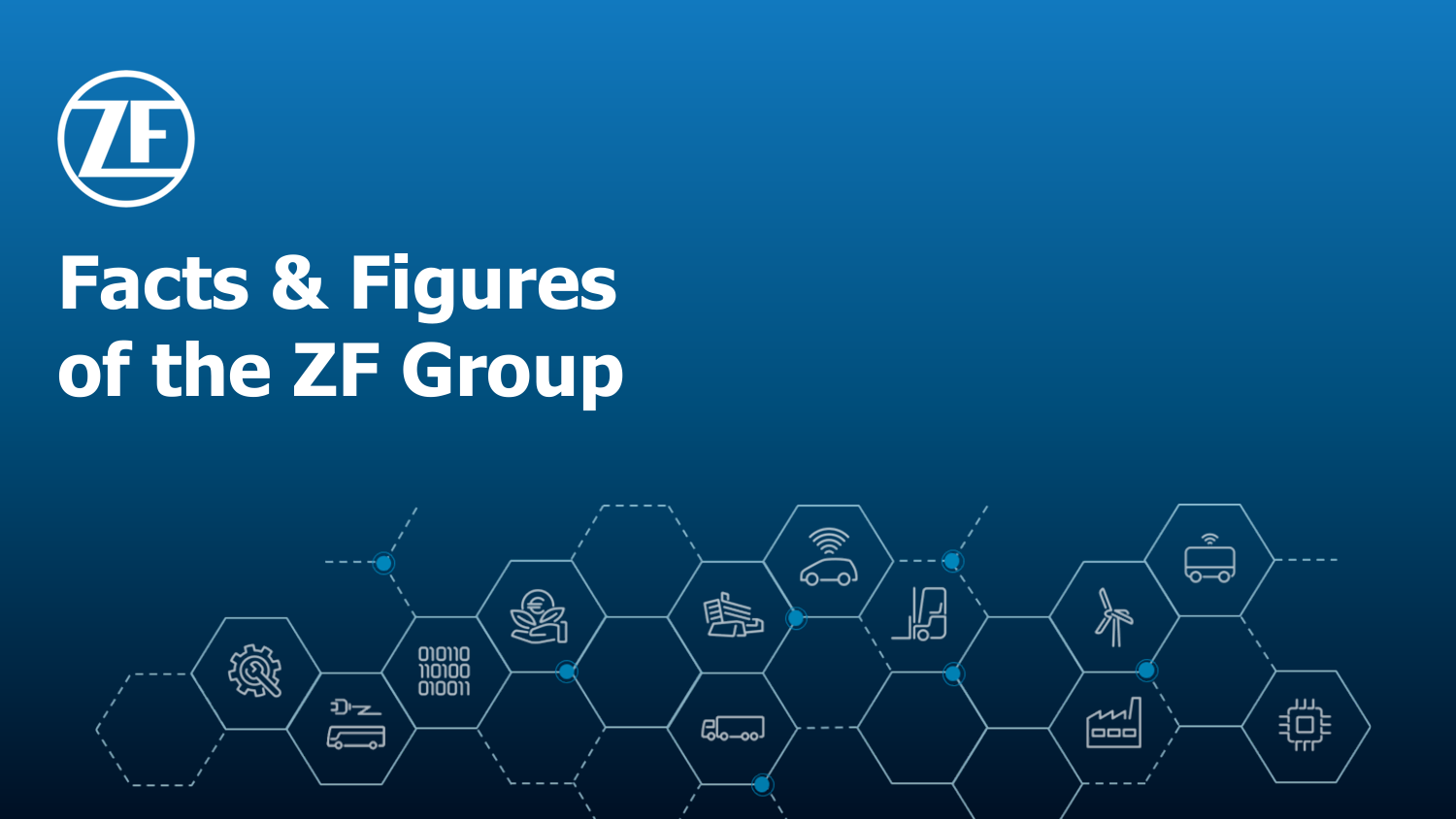

# **Facts & Figures of the ZF Group**

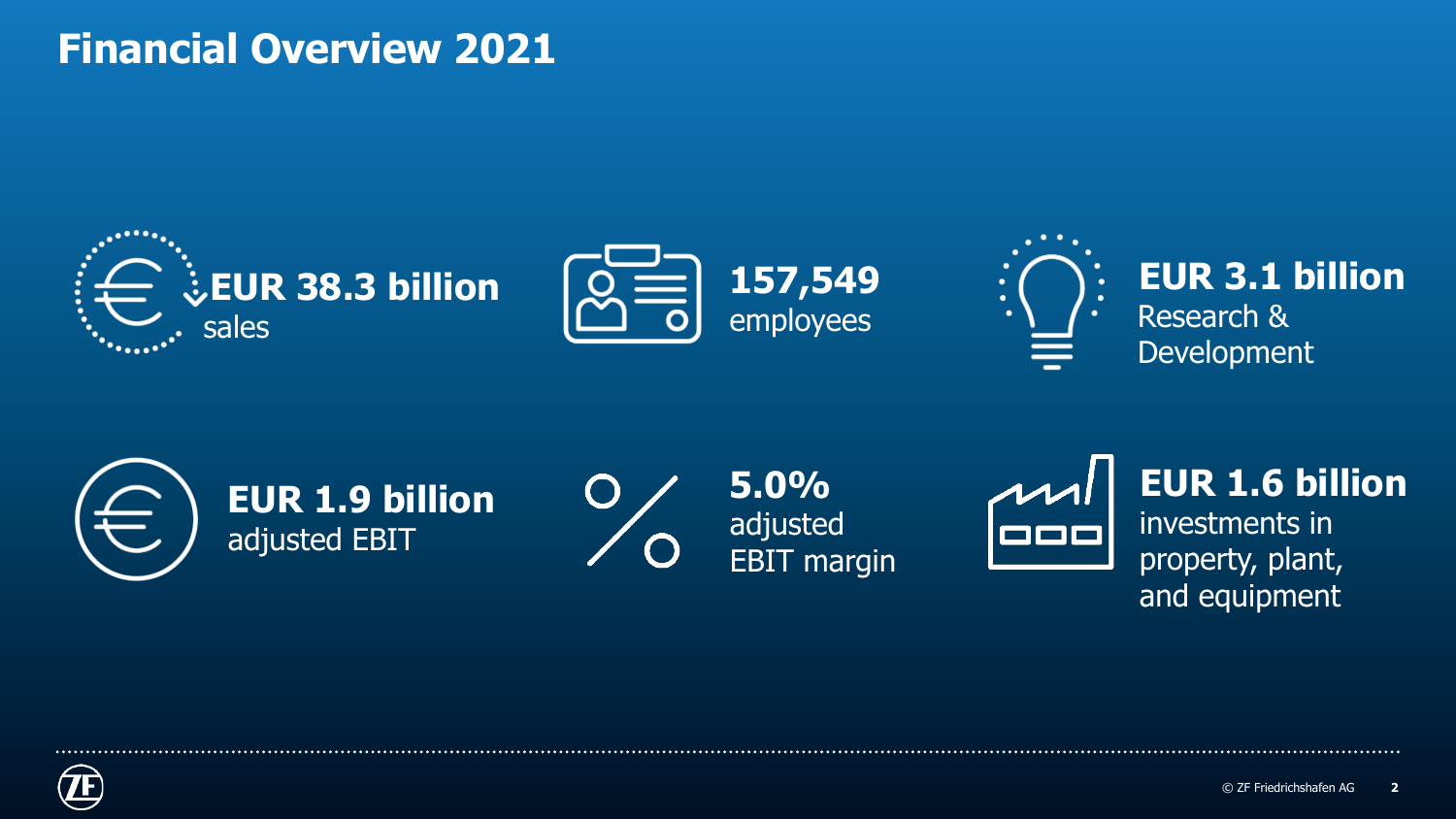#### **Financial Overview 2021**





**EUR 1.9 billion** adjusted EBIT

**5.0%** adjusted EBIT margin



**EUR 1.6 billion** investments in property, plant, and equipment

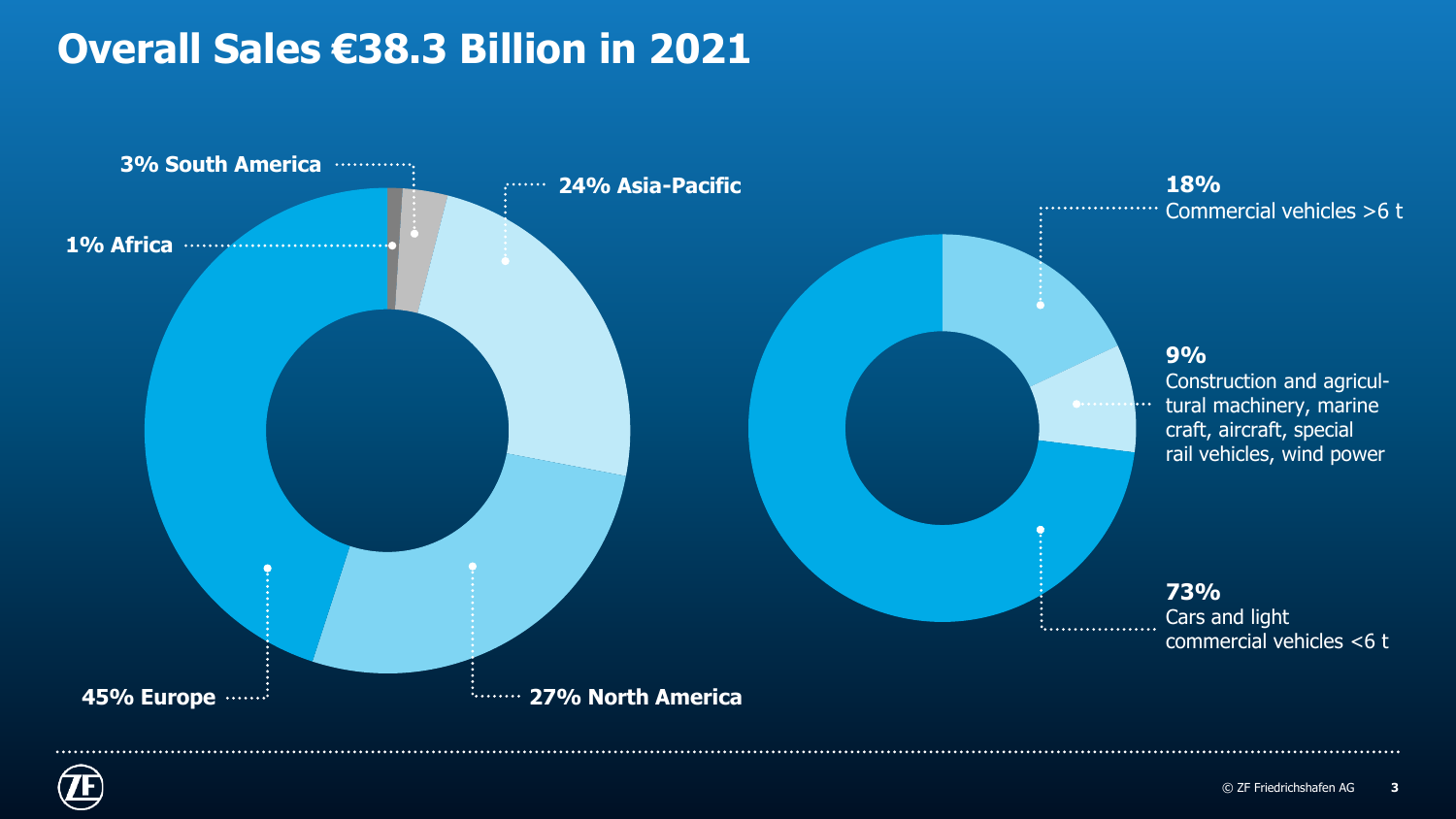### **Overall Sales €38.3 Billion in 2021**



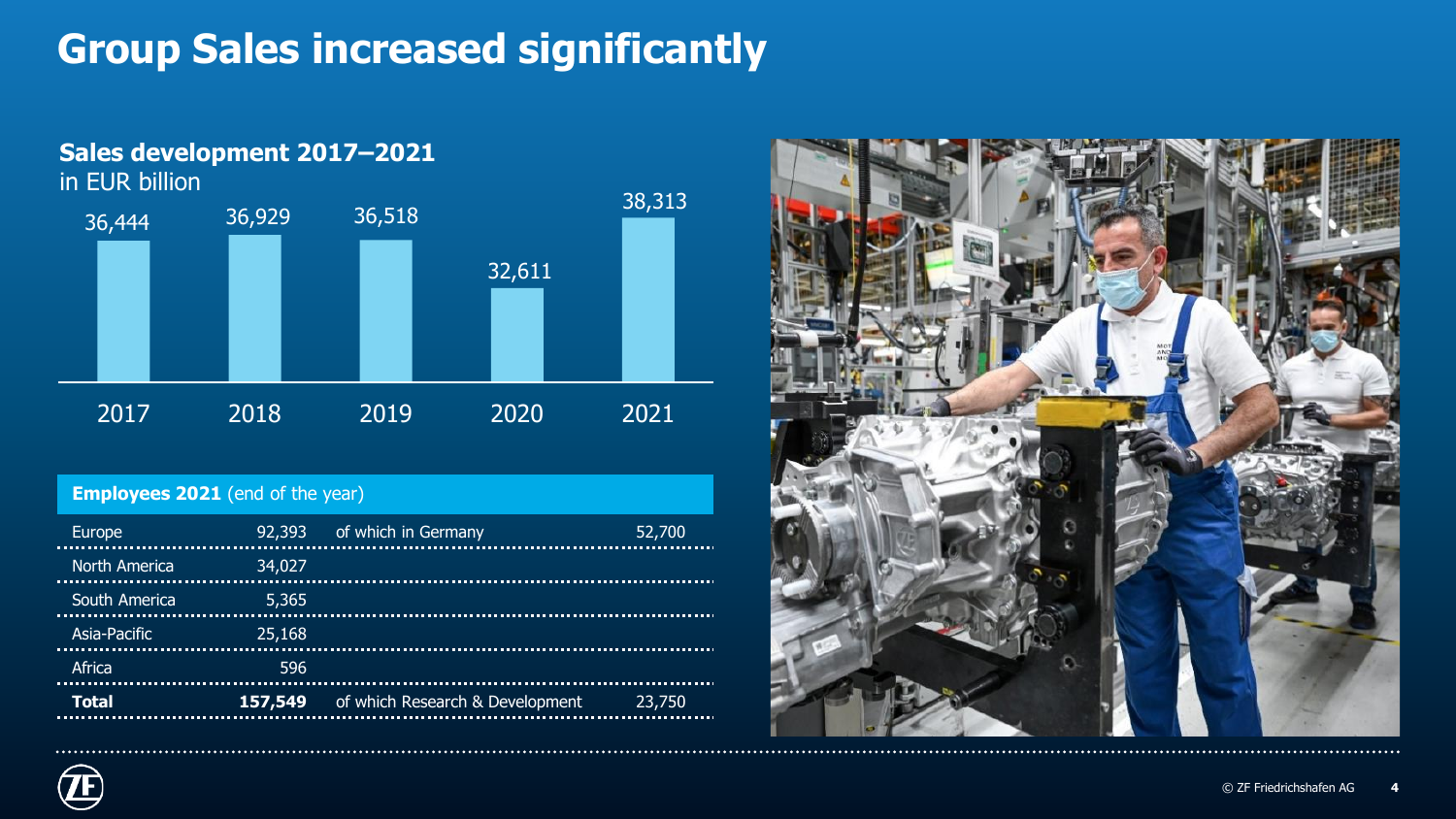## **Group Sales increased significantly**



#### **Employees 2021** (end of the year)

| 92,393 | 52,700                                                         |
|--------|----------------------------------------------------------------|
| 34,027 |                                                                |
| 5,365  |                                                                |
| 25,168 |                                                                |
| 596    |                                                                |
|        | 23,750                                                         |
|        | of which in Germany<br>157,549 of which Research & Development |



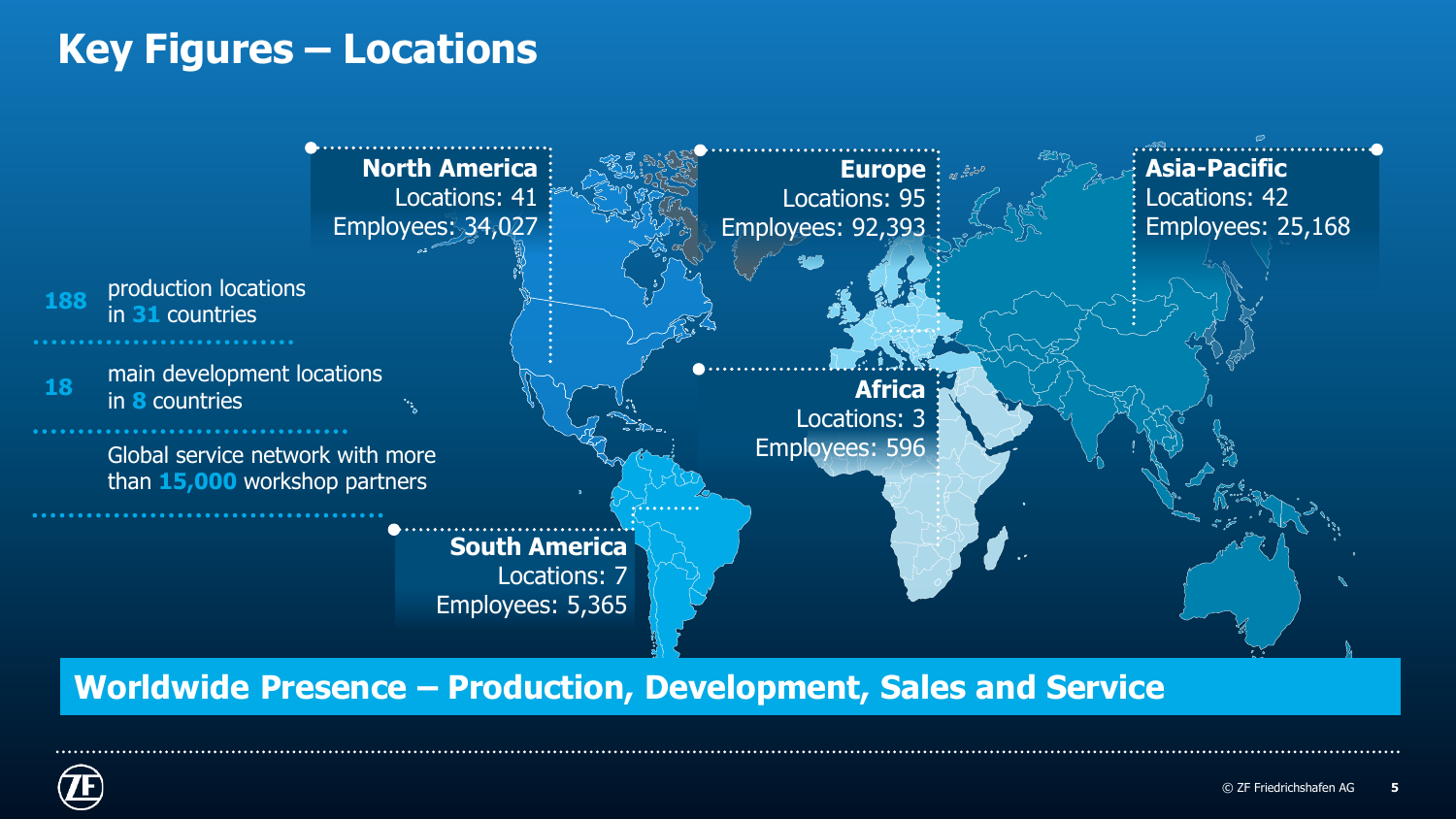#### **Key Figures – Locations**



**Worldwide Presence – Production, Development, Sales and Service**

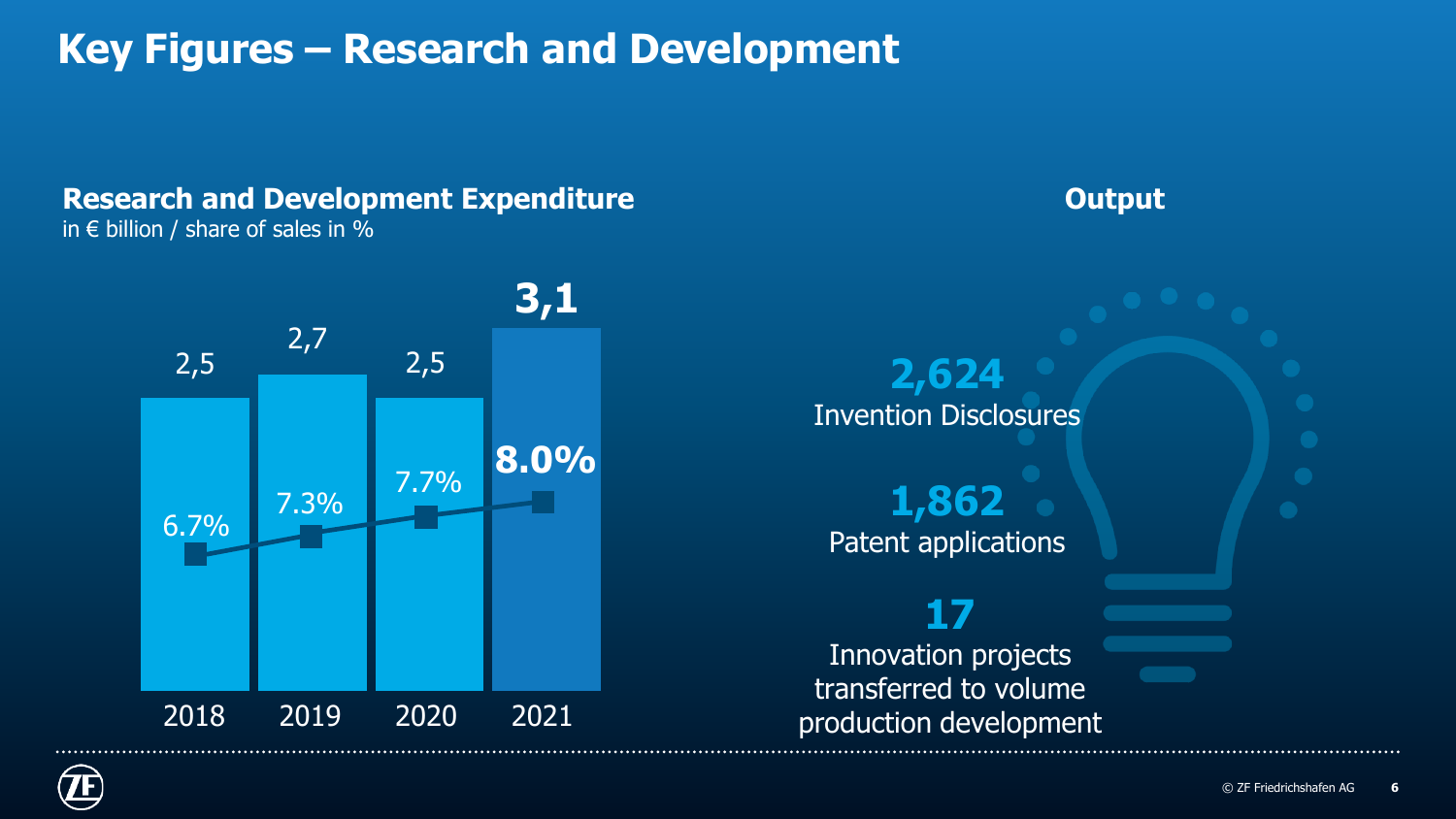### **Key Figures – Research and Development**

#### **Research and Development Expenditure** in  $\epsilon$  billion / share of sales in %



**Output**



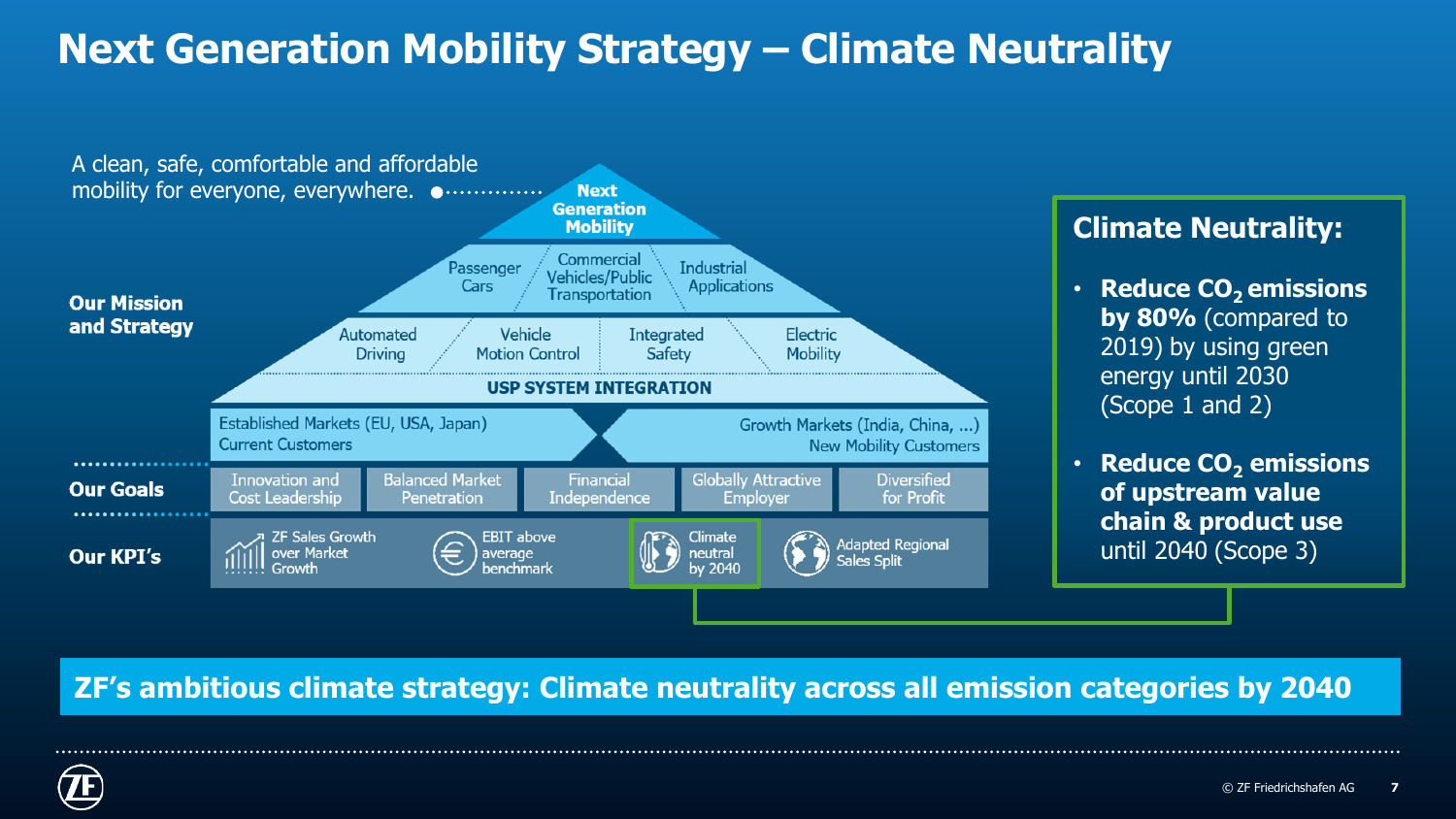# **Next Generation Mobility Strategy – Climate Neutrality**



#### **Climate Neutrality:**

- **Reduce CO2 emissions by 80%** (compared to 2019) by using green energy until 2030 (Scope 1 and 2)
- **Reduce CO<sup>2</sup> emissions of upstream value chain & product use**  until 2040 (Scope 3)

#### **ZF's ambitious climate strategy: Climate neutrality across all emission categories by 2040**